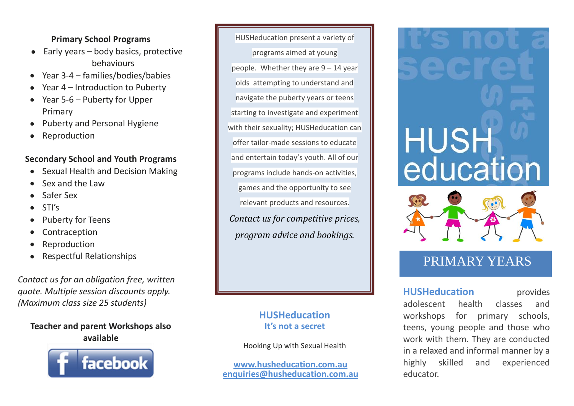# **Primary School Programs**

- $\bullet$  Early years body basics, protective behaviours
- Year 3-4 families/bodies/babies
- Year 4 Introduction to Puberty
- Year 5-6 Puberty for Upper Primary
- Puberty and Personal Hygiene  $\bullet$
- Reproduction

# **Secondary School and Youth Programs**

- Sexual Health and Decision Making
- Sex and the Law
- Safer Sex
- STI's
- Puberty for Teens
- Contraception
- Reproduction
- Respectful Relationships

*Contact us for an obligation free, written quote. Multiple session discounts apply. (Maximum class size 25 students)*

# **Teacher and parent Workshops also available**



HUSHeducation present a variety of programs aimed at young people. Whether they are 9 – 14 year olds attempting to understand and navigate the puberty years or teens starting to investigate and experiment with their sexuality; HUSHeducation can offer tailor-made sessions to educate and entertain today's youth. All of our programs include hands-on activities, games and the opportunity to see relevant products and resources. *Contact us for competitive prices, program advice and bookings.*

# **HUSHeducation It's not a secret**

Hooking Up with Sexual Health

**[www.husheducation.com.au](http://www.husheducation.com.au/) [enquiries@husheducation.com.au](mailto:enquiries@husheducation.com.au)**

# **HUSH**<br>education



# PRIMARY YEARS

**HUSHeducation** provides adolescent health classes and workshops for primary schools, teens, young people and those who work with them. They are conducted in a relaxed and informal manner by a highly skilled and experienced educator.